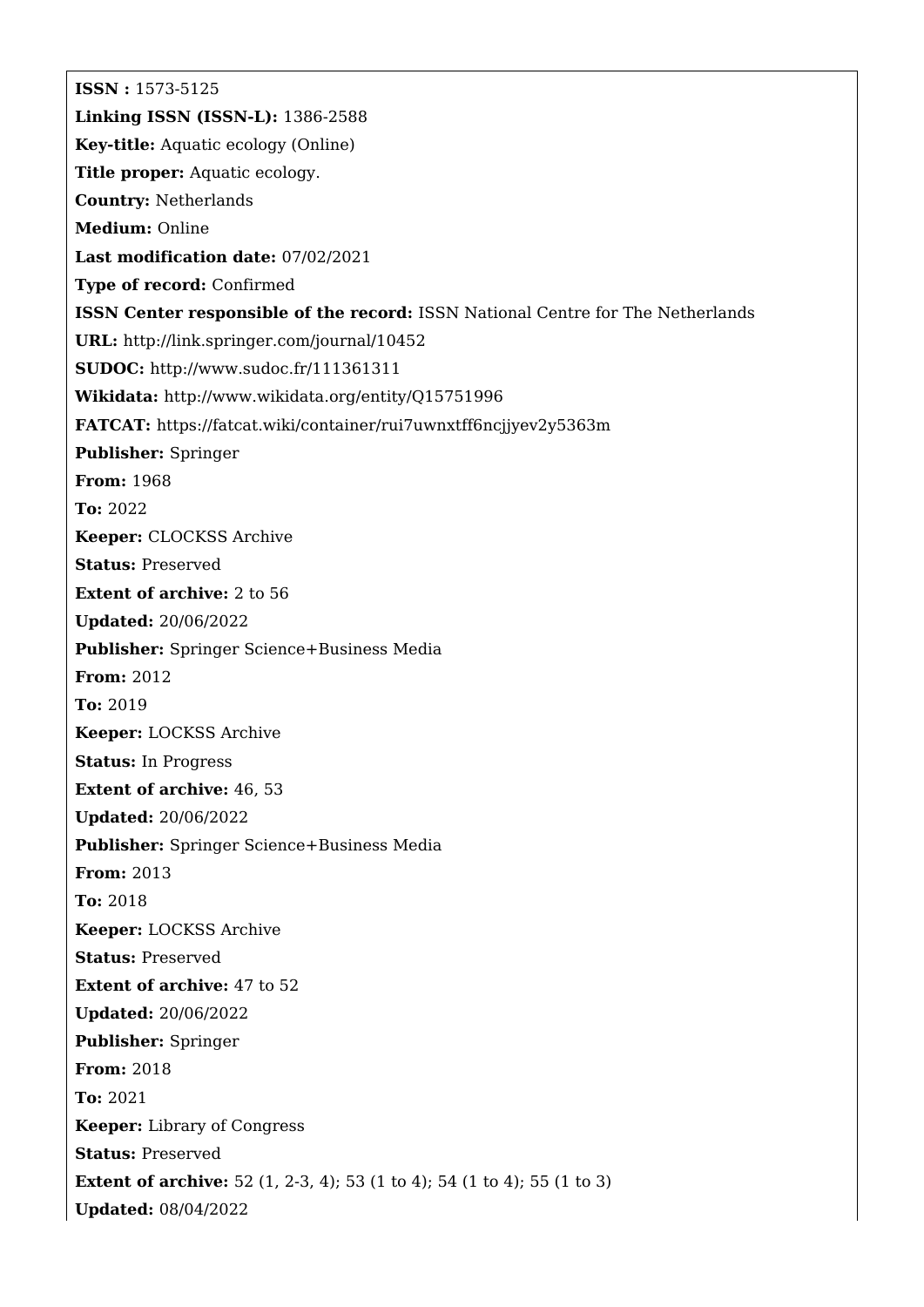**ISSN :** 1573-5125 **Linking ISSN (ISSN-L):** 1386-2588 **Key-title:** Aquatic ecology (Online) **Title proper:** Aquatic ecology. **Country:** Netherlands **Medium:** Online **Last modification date:** 07/02/2021 **Type of record:** Confirmed **ISSN Center responsible of the record:** ISSN National Centre for The Netherlands **URL:** <http://link.springer.com/journal/10452> **SUDOC:** <http://www.sudoc.fr/111361311> **Wikidata:** <http://www.wikidata.org/entity/Q15751996> **FATCAT:** <https://fatcat.wiki/container/rui7uwnxtff6ncjjyev2y5363m> **Publisher:** Springer **From:** 1968 **To:** 2022 **Keeper:** CLOCKSS Archive **Status:** Preserved **Extent of archive:** 2 to 56 **Updated:** 20/06/2022 **Publisher:** Springer Science+Business Media **From:** 2012 **To:** 2019 **Keeper:** LOCKSS Archive **Status:** In Progress **Extent of archive:** 46, 53 **Updated:** 20/06/2022 **Publisher:** Springer Science+Business Media **From:** 2013 **To:** 2018 **Keeper:** LOCKSS Archive **Status:** Preserved **Extent of archive:** 47 to 52 **Updated:** 20/06/2022 **Publisher:** Springer **From:** 2018 **To:** 2021 **Keeper:** Library of Congress **Status:** Preserved **Extent of archive:** 52 (1, 2-3, 4); 53 (1 to 4); 54 (1 to 4); 55 (1 to 3) **Updated:** 08/04/2022